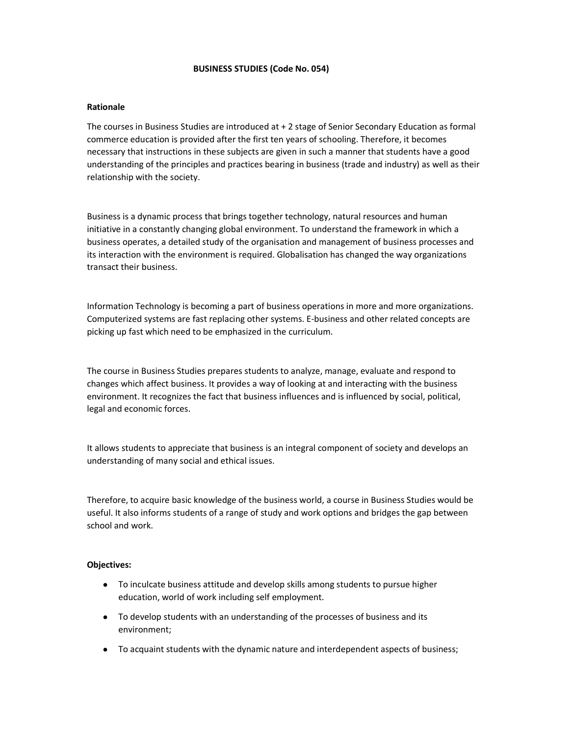#### BUSINESS STUDIES (Code No. 054)

#### Rationale

The courses in Business Studies are introduced at + 2 stage of Senior Secondary Education as formal commerce education is provided after the first ten years of schooling. Therefore, it becomes necessary that instructions in these subjects are given in such a manner that students have a good understanding of the principles and practices bearing in business (trade and industry) as well as their relationship with the society.

Business is a dynamic process that brings together technology, natural resources and human initiative in a constantly changing global environment. To understand the framework in which a business operates, a detailed study of the organisation and management of business processes and its interaction with the environment is required. Globalisation has changed the way organizations transact their business.

Information Technology is becoming a part of business operations in more and more organizations. Computerized systems are fast replacing other systems. E-business and other related concepts are picking up fast which need to be emphasized in the curriculum.

The course in Business Studies prepares students to analyze, manage, evaluate and respond to changes which affect business. It provides a way of looking at and interacting with the business environment. It recognizes the fact that business influences and is influenced by social, political, legal and economic forces.

It allows students to appreciate that business is an integral component of society and develops an understanding of many social and ethical issues.

Therefore, to acquire basic knowledge of the business world, a course in Business Studies would be useful. It also informs students of a range of study and work options and bridges the gap between school and work.

#### Objectives:

- To inculcate business attitude and develop skills among students to pursue higher education, world of work including self employment.
- To develop students with an understanding of the processes of business and its environment;
- To acquaint students with the dynamic nature and interdependent aspects of business;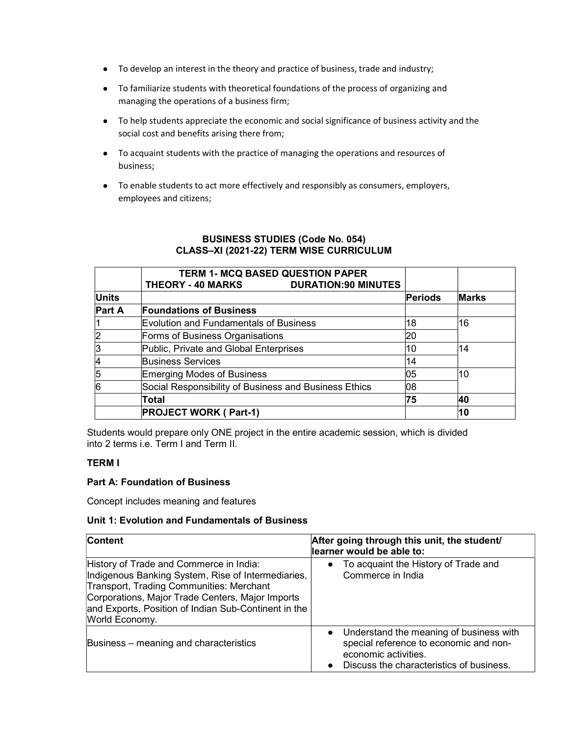- To develop an interest in the theory and practice of business, trade and industry;
- To familiarize students with theoretical foundations of the process of organizing and managing the operations of a business firm;
- To help students appreciate the economic and social significance of business activity and the social cost and benefits arising there from;
- To acquaint students with the practice of managing the operations and resources of business;
- To enable students to act more effectively and responsibly as consumers, employers, employees and citizens;

|              | <b>TERM 1- MCQ BASED QUESTION PAPER</b><br><b>DURATION:90 MINUTES</b><br><b>THEORY - 40 MARKS</b> |                |              |
|--------------|---------------------------------------------------------------------------------------------------|----------------|--------------|
| <b>Units</b> |                                                                                                   | Periods        | <b>Marks</b> |
| Part A       | <b>Foundations of Business</b>                                                                    |                |              |
|              | Evolution and Fundamentals of Business                                                            | 16<br>18<br>20 |              |
|              | Forms of Business Organisations                                                                   |                |              |
|              | Public, Private and Global Enterprises                                                            | 10             | 14           |
|              | <b>Business Services</b>                                                                          | 14             |              |
|              | Emerging Modes of Business                                                                        | 05             | 10           |
|              | Social Responsibility of Business and Business Ethics                                             | 08             |              |
|              | Total                                                                                             | 75             | 40           |
|              | <b>PROJECT WORK (Part-1)</b>                                                                      |                | 10           |

## BUSINESS STUDIES (Code No. 054) CLASS–XI (2021-22) TERM WISE CURRICULUM

Students would prepare only ONE project in the entire academic session, which is divided into 2 terms i.e. Term I and Term II.

### TERM I

### Part A: Foundation of Business

Concept includes meaning and features

### Unit 1: Evolution and Fundamentals of Business

| Content                                                                                                                                                                                                                                                                 | After going through this unit, the student/<br>learner would be able to:                                                                                           |
|-------------------------------------------------------------------------------------------------------------------------------------------------------------------------------------------------------------------------------------------------------------------------|--------------------------------------------------------------------------------------------------------------------------------------------------------------------|
| History of Trade and Commerce in India:<br>Indigenous Banking System, Rise of Intermediaries,<br>Transport, Trading Communities: Merchant<br>Corporations, Major Trade Centers, Major Imports<br>and Exports, Position of Indian Sub-Continent in the<br>World Economy. | To acquaint the History of Trade and<br>$\bullet$<br>Commerce in India                                                                                             |
| Business – meaning and characteristics                                                                                                                                                                                                                                  | Understand the meaning of business with<br>$\bullet$<br>special reference to economic and non-<br>economic activities.<br>Discuss the characteristics of business. |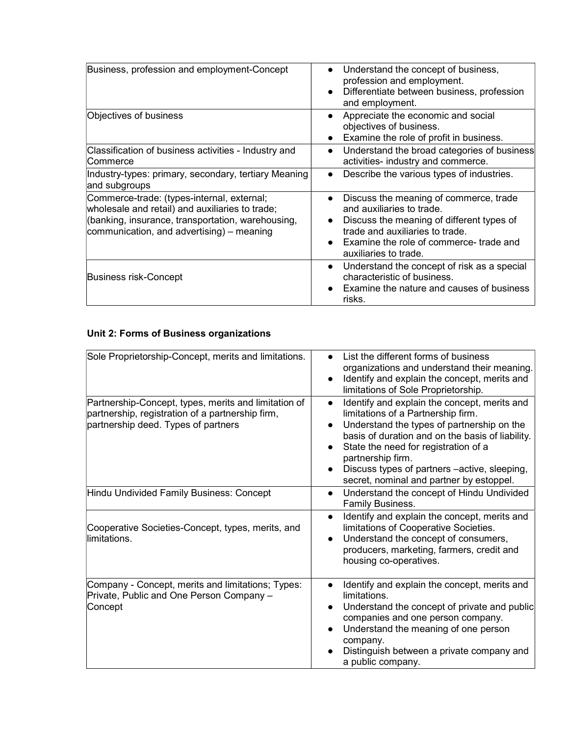| Business, profession and employment-Concept                                                                                                                                                     | Understand the concept of business,<br>$\bullet$<br>profession and employment.<br>Differentiate between business, profession<br>$\bullet$<br>and employment.                                                                                     |
|-------------------------------------------------------------------------------------------------------------------------------------------------------------------------------------------------|--------------------------------------------------------------------------------------------------------------------------------------------------------------------------------------------------------------------------------------------------|
| Objectives of business                                                                                                                                                                          | Appreciate the economic and social<br>$\bullet$<br>objectives of business.<br>Examine the role of profit in business.                                                                                                                            |
| Classification of business activities - Industry and<br>Commerce                                                                                                                                | Understand the broad categories of business<br>$\bullet$<br>activities- industry and commerce.                                                                                                                                                   |
| Industry-types: primary, secondary, tertiary Meaning<br>and subgroups                                                                                                                           | Describe the various types of industries.<br>$\bullet$                                                                                                                                                                                           |
| Commerce-trade: (types-internal, external;<br>wholesale and retail) and auxiliaries to trade;<br>(banking, insurance, transportation, warehousing,<br>communication, and advertising) – meaning | Discuss the meaning of commerce, trade<br>$\bullet$<br>and auxiliaries to trade.<br>Discuss the meaning of different types of<br>$\bullet$<br>trade and auxiliaries to trade.<br>Examine the role of commerce-trade and<br>auxiliaries to trade. |
| Business risk-Concept                                                                                                                                                                           | Understand the concept of risk as a special<br>$\bullet$<br>characteristic of business.<br>Examine the nature and causes of business<br>risks.                                                                                                   |

# Unit 2: Forms of Business organizations

| Sole Proprietorship-Concept, merits and limitations.                                                                                            | List the different forms of business<br>$\bullet$                                                                                                                                                                                                                                                                                                                                                 |
|-------------------------------------------------------------------------------------------------------------------------------------------------|---------------------------------------------------------------------------------------------------------------------------------------------------------------------------------------------------------------------------------------------------------------------------------------------------------------------------------------------------------------------------------------------------|
|                                                                                                                                                 | organizations and understand their meaning.<br>Identify and explain the concept, merits and<br>$\bullet$<br>limitations of Sole Proprietorship.                                                                                                                                                                                                                                                   |
| Partnership-Concept, types, merits and limitation of<br>partnership, registration of a partnership firm,<br>partnership deed. Types of partners | Identify and explain the concept, merits and<br>$\bullet$<br>limitations of a Partnership firm.<br>Understand the types of partnership on the<br>$\bullet$<br>basis of duration and on the basis of liability.<br>State the need for registration of a<br>$\bullet$<br>partnership firm.<br>Discuss types of partners –active, sleeping,<br>$\bullet$<br>secret, nominal and partner by estoppel. |
| Hindu Undivided Family Business: Concept                                                                                                        | Understand the concept of Hindu Undivided<br>$\bullet$<br>Family Business.                                                                                                                                                                                                                                                                                                                        |
| Cooperative Societies-Concept, types, merits, and<br>llimitations.                                                                              | Identify and explain the concept, merits and<br>$\bullet$<br>limitations of Cooperative Societies.<br>Understand the concept of consumers,<br>$\bullet$<br>producers, marketing, farmers, credit and<br>housing co-operatives.                                                                                                                                                                    |
| Company - Concept, merits and limitations; Types:<br>Private, Public and One Person Company -<br>Concept                                        | Identify and explain the concept, merits and<br>$\bullet$<br>limitations.<br>Understand the concept of private and public<br>$\bullet$<br>companies and one person company.<br>Understand the meaning of one person<br>$\bullet$<br>company.<br>Distinguish between a private company and<br>a public company.                                                                                    |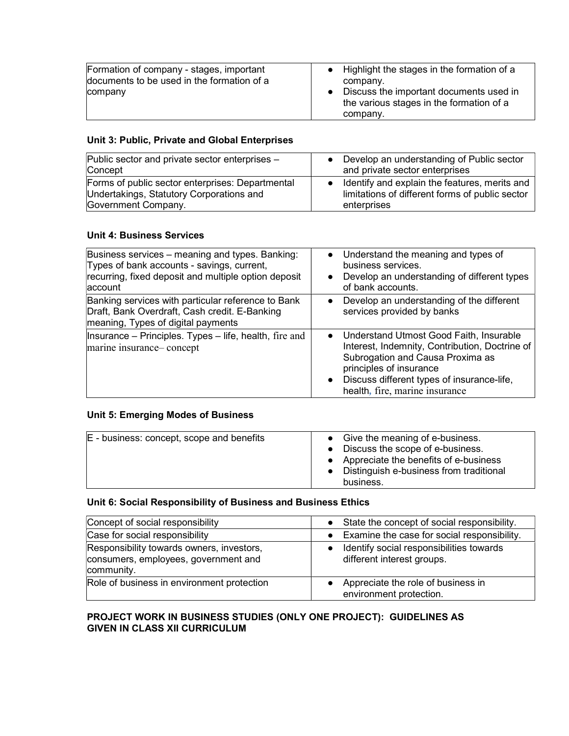| Formation of company - stages, important   | • Highlight the stages in the formation of a |
|--------------------------------------------|----------------------------------------------|
| documents to be used in the formation of a | company.                                     |
| company                                    | Discuss the important documents used in      |
|                                            | the various stages in the formation of a     |
|                                            | company.                                     |

## Unit 3: Public, Private and Global Enterprises

| Public sector and private sector enterprises -<br>Concept | Develop an understanding of Public sector<br>and private sector enterprises |
|-----------------------------------------------------------|-----------------------------------------------------------------------------|
| Forms of public sector enterprises: Departmental          | Identify and explain the features, merits and                               |
| Undertakings, Statutory Corporations and                  | limitations of different forms of public sector                             |
| Government Company.                                       | enterprises                                                                 |

## Unit 4: Business Services

| Business services – meaning and types. Banking:<br>Types of bank accounts - savings, current,<br>recurring, fixed deposit and multiple option deposit<br>account | Understand the meaning and types of<br>$\bullet$<br>business services.<br>Develop an understanding of different types<br>$\bullet$<br>of bank accounts.                                                                                               |
|------------------------------------------------------------------------------------------------------------------------------------------------------------------|-------------------------------------------------------------------------------------------------------------------------------------------------------------------------------------------------------------------------------------------------------|
| Banking services with particular reference to Bank<br>Draft, Bank Overdraft, Cash credit. E-Banking<br>meaning, Types of digital payments                        | Develop an understanding of the different<br>$\bullet$<br>services provided by banks                                                                                                                                                                  |
| Insurance – Principles. Types – life, health, fire and<br>marine insurance-concept                                                                               | Understand Utmost Good Faith, Insurable<br>$\bullet$<br>Interest, Indemnity, Contribution, Doctrine of<br>Subrogation and Causa Proxima as<br>principles of insurance<br>Discuss different types of insurance-life,<br>health, fire, marine insurance |

# Unit 5: Emerging Modes of Business

| E - business: concept, scope and benefits | Give the meaning of e-business.<br>Discuss the scope of e-business.<br>• Appreciate the benefits of e-business<br>Distinguish e-business from traditional<br>business. |
|-------------------------------------------|------------------------------------------------------------------------------------------------------------------------------------------------------------------------|
|-------------------------------------------|------------------------------------------------------------------------------------------------------------------------------------------------------------------------|

# Unit 6: Social Responsibility of Business and Business Ethics

| Concept of social responsibility                                                                | State the concept of social responsibility.                            |
|-------------------------------------------------------------------------------------------------|------------------------------------------------------------------------|
| Case for social responsibility                                                                  | Examine the case for social responsibility.<br>$\bullet$               |
| Responsibility towards owners, investors,<br>consumers, employees, government and<br>community. | Identify social responsibilities towards<br>different interest groups. |
| Role of business in environment protection                                                      | Appreciate the role of business in<br>environment protection.          |

## PROJECT WORK IN BUSINESS STUDIES (ONLY ONE PROJECT): GUIDELINES AS GIVEN IN CLASS XII CURRICULUM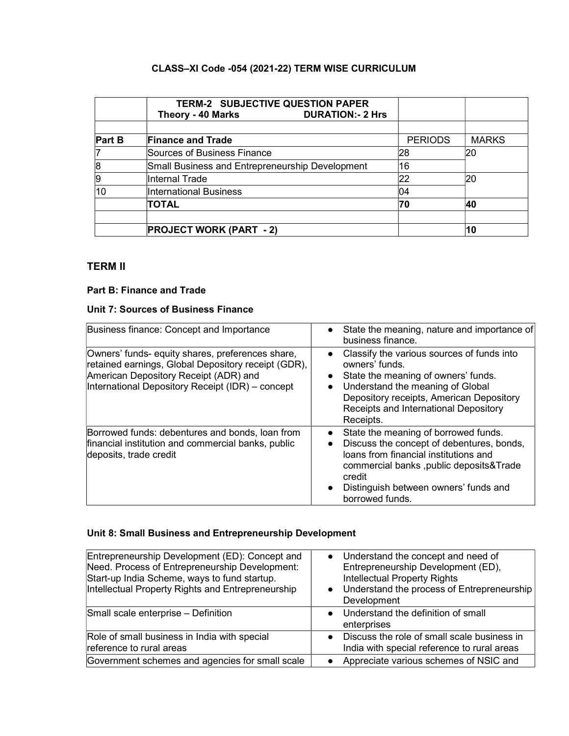# CLASS–XI Code -054 (2021-22) TERM WISE CURRICULUM

|                | <b>TERM-2 SUBJECTIVE QUESTION PAPER</b><br><b>DURATION:- 2 Hrs</b><br>Theory - 40 Marks |                |              |
|----------------|-----------------------------------------------------------------------------------------|----------------|--------------|
|                |                                                                                         |                |              |
| <b>Part B</b>  | <b>Finance and Trade</b>                                                                | <b>PERIODS</b> | <b>MARKS</b> |
|                | Sources of Business Finance                                                             | 28             | 20           |
| 8              | Small Business and Entrepreneurship Development                                         | 16             |              |
| $\overline{9}$ | Internal Trade                                                                          | 22             | 20           |
| 10             | <b>International Business</b>                                                           | 04             |              |
|                | <b>TOTAL</b>                                                                            | 70             | 40           |
|                | <b>PROJECT WORK (PART - 2)</b>                                                          |                | 10           |

# TERM II

## Part B: Finance and Trade

# Unit 7: Sources of Business Finance

| Business finance: Concept and Importance                                                                                                                                                             | State the meaning, nature and importance of<br>$\bullet$<br>business finance.                                                                                                                                                                                                       |
|------------------------------------------------------------------------------------------------------------------------------------------------------------------------------------------------------|-------------------------------------------------------------------------------------------------------------------------------------------------------------------------------------------------------------------------------------------------------------------------------------|
| Owners' funds- equity shares, preferences share,<br>retained earnings, Global Depository receipt (GDR),<br>American Depository Receipt (ADR) and<br>International Depository Receipt (IDR) - concept | Classify the various sources of funds into<br>$\bullet$<br>owners' funds.<br>State the meaning of owners' funds.<br>٠<br>Understand the meaning of Global<br>$\bullet$<br>Depository receipts, American Depository<br>Receipts and International Depository<br>Receipts.            |
| Borrowed funds: debentures and bonds, loan from<br>financial institution and commercial banks, public<br>deposits, trade credit                                                                      | State the meaning of borrowed funds.<br>$\bullet$<br>Discuss the concept of debentures, bonds,<br>$\bullet$<br>loans from financial institutions and<br>commercial banks, public deposits& Trade<br>credit<br>Distinguish between owners' funds and<br>$\bullet$<br>borrowed funds. |

# Unit 8: Small Business and Entrepreneurship Development

| Entrepreneurship Development (ED): Concept and<br>Need. Process of Entrepreneurship Development:<br>Start-up India Scheme, ways to fund startup.<br>Intellectual Property Rights and Entrepreneurship | Understand the concept and need of<br>$\bullet$<br>Entrepreneurship Development (ED),<br><b>Intellectual Property Rights</b><br>Understand the process of Entrepreneurship<br>$\bullet$<br>Development |
|-------------------------------------------------------------------------------------------------------------------------------------------------------------------------------------------------------|--------------------------------------------------------------------------------------------------------------------------------------------------------------------------------------------------------|
| Small scale enterprise - Definition                                                                                                                                                                   | Understand the definition of small<br>enterprises                                                                                                                                                      |
| Role of small business in India with special<br>reference to rural areas                                                                                                                              | Discuss the role of small scale business in<br>India with special reference to rural areas                                                                                                             |
| Government schemes and agencies for small scale                                                                                                                                                       | Appreciate various schemes of NSIC and                                                                                                                                                                 |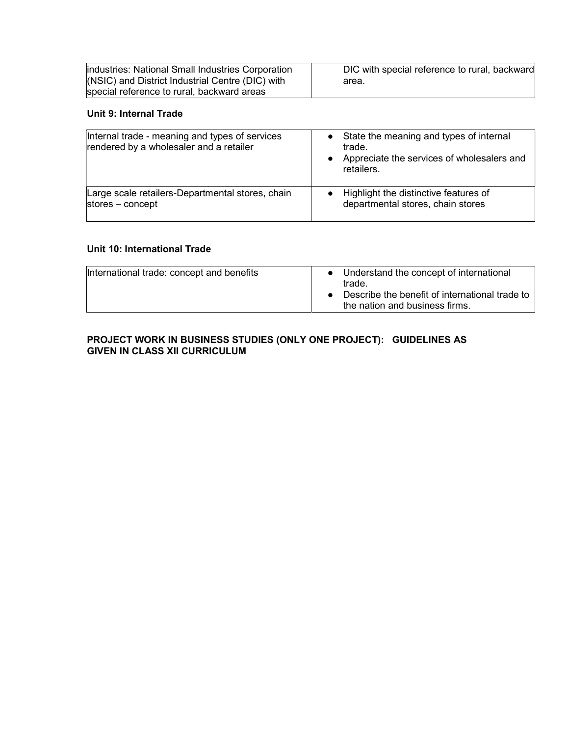| industries: National Small Industries Corporation | DIC with special reference to rural, backward |
|---------------------------------------------------|-----------------------------------------------|
| (NSIC) and District Industrial Centre (DIC) with  | area.                                         |
| special reference to rural, backward areas        |                                               |

## Unit 9: Internal Trade

| Internal trade - meaning and types of services<br>rendered by a wholesaler and a retailer | State the meaning and types of internal<br>trade.<br>Appreciate the services of wholesalers and<br>retailers. |
|-------------------------------------------------------------------------------------------|---------------------------------------------------------------------------------------------------------------|
| Large scale retailers-Departmental stores, chain                                          | Highlight the distinctive features of                                                                         |
| stores - concept                                                                          | departmental stores, chain stores                                                                             |

## Unit 10: International Trade

| International trade: concept and benefits | Understand the concept of international<br>trade.<br>Describe the benefit of international trade to<br>the nation and business firms. |
|-------------------------------------------|---------------------------------------------------------------------------------------------------------------------------------------|
|-------------------------------------------|---------------------------------------------------------------------------------------------------------------------------------------|

#### PROJECT WORK IN BUSINESS STUDIES (ONLY ONE PROJECT): GUIDELINES AS GIVEN IN CLASS XII CURRICULUM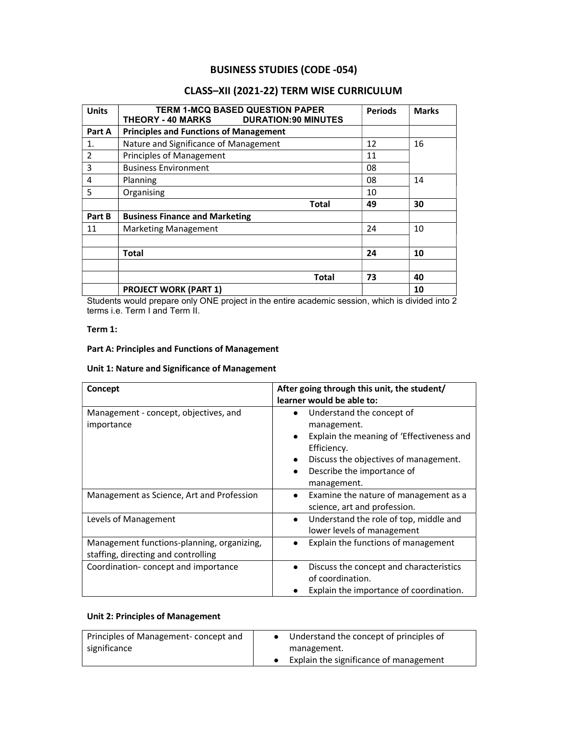# BUSINESS STUDIES (CODE -054)

# CLASS–XII (2021-22) TERM WISE CURRICULUM

| <b>Units</b> | <b>TERM 1-MCQ BASED QUESTION PAPER</b><br>THEORY - 40 MARKS<br><b>DURATION: 90 MINUTES</b> | <b>Periods</b> | <b>Marks</b> |
|--------------|--------------------------------------------------------------------------------------------|----------------|--------------|
| Part A       | <b>Principles and Functions of Management</b>                                              |                |              |
| 1.           | Nature and Significance of Management                                                      | 12             | 16           |
| 2            | <b>Principles of Management</b>                                                            | 11             |              |
| 3            | <b>Business Environment</b>                                                                | 08             |              |
| 4            | Planning                                                                                   | 08             | 14           |
| 5            | Organising                                                                                 | 10             |              |
|              | Total                                                                                      | 49             | 30           |
| Part B       | <b>Business Finance and Marketing</b>                                                      |                |              |
| 11           | <b>Marketing Management</b>                                                                | 24             | 10           |
|              |                                                                                            |                |              |
|              | <b>Total</b>                                                                               | 24             | 10           |
|              |                                                                                            |                |              |
|              | <b>Total</b>                                                                               | 73             | 40           |
|              | <b>PROJECT WORK (PART 1)</b>                                                               |                | 10           |

Students would prepare only ONE project in the entire academic session, which is divided into 2 terms i.e. Term I and Term II.

#### Term 1:

#### Part A: Principles and Functions of Management

#### Unit 1: Nature and Significance of Management

| Concept                                                                           | After going through this unit, the student/<br>learner would be able to:                                                                                                                   |
|-----------------------------------------------------------------------------------|--------------------------------------------------------------------------------------------------------------------------------------------------------------------------------------------|
| Management - concept, objectives, and<br>importance                               | Understand the concept of<br>management.<br>Explain the meaning of 'Effectiveness and<br>Efficiency.<br>Discuss the objectives of management.<br>Describe the importance of<br>management. |
| Management as Science, Art and Profession                                         | Examine the nature of management as a<br>$\bullet$<br>science, art and profession.                                                                                                         |
| Levels of Management                                                              | Understand the role of top, middle and<br>$\bullet$<br>lower levels of management                                                                                                          |
| Management functions-planning, organizing,<br>staffing, directing and controlling | Explain the functions of management                                                                                                                                                        |
| Coordination-concept and importance                                               | Discuss the concept and characteristics<br>of coordination.<br>Explain the importance of coordination.                                                                                     |

#### Unit 2: Principles of Management

| Principles of Management-concept and | Understand the concept of principles of |
|--------------------------------------|-----------------------------------------|
| significance                         | management.                             |
|                                      | Explain the significance of management  |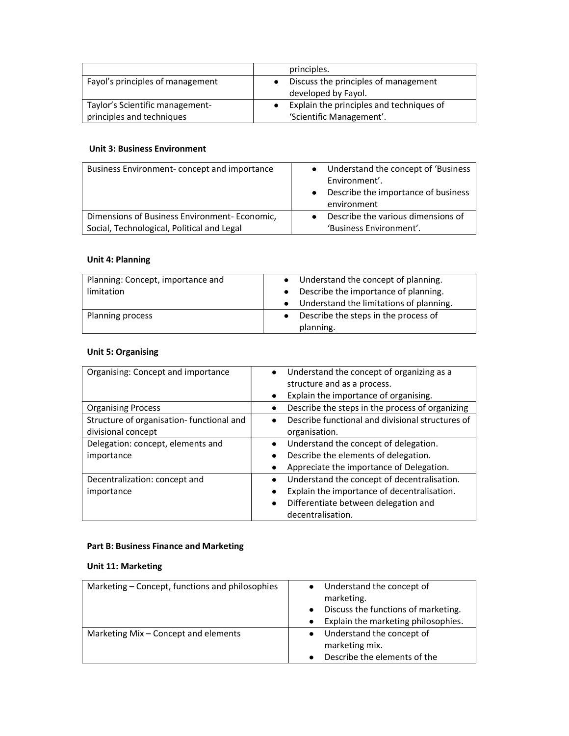|                                  | principles.                              |
|----------------------------------|------------------------------------------|
| Fayol's principles of management | Discuss the principles of management     |
|                                  | developed by Fayol.                      |
| Taylor's Scientific management-  | Explain the principles and techniques of |
| principles and techniques        | 'Scientific Management'.                 |

## Unit 3: Business Environment

| Business Environment-concept and importance  | Understand the concept of 'Business<br>Environment'.<br>Describe the importance of business<br>environment |
|----------------------------------------------|------------------------------------------------------------------------------------------------------------|
| Dimensions of Business Environment-Economic, | Describe the various dimensions of                                                                         |
| Social, Technological, Political and Legal   | 'Business Environment'.                                                                                    |

# Unit 4: Planning

| Planning: Concept, importance and<br>limitation | Understand the concept of planning.<br>$\bullet$<br>Describe the importance of planning.<br>$\bullet$<br>Understand the limitations of planning. |
|-------------------------------------------------|--------------------------------------------------------------------------------------------------------------------------------------------------|
| Planning process                                | Describe the steps in the process of<br>planning.                                                                                                |

## Unit 5: Organising

| Organising: Concept and importance       | $\bullet$<br>$\bullet$ | Understand the concept of organizing as a<br>structure and as a process.<br>Explain the importance of organising. |
|------------------------------------------|------------------------|-------------------------------------------------------------------------------------------------------------------|
| <b>Organising Process</b>                | $\bullet$              | Describe the steps in the process of organizing                                                                   |
| Structure of organisation-functional and | $\bullet$              | Describe functional and divisional structures of                                                                  |
| divisional concept                       |                        | organisation.                                                                                                     |
| Delegation: concept, elements and        | $\bullet$              | Understand the concept of delegation.                                                                             |
| importance                               | $\bullet$              | Describe the elements of delegation.                                                                              |
|                                          | $\bullet$              | Appreciate the importance of Delegation.                                                                          |
| Decentralization: concept and            | $\bullet$              | Understand the concept of decentralisation.                                                                       |
| importance                               | $\bullet$              | Explain the importance of decentralisation.                                                                       |
|                                          | $\bullet$              | Differentiate between delegation and                                                                              |
|                                          |                        | decentralisation.                                                                                                 |

# Part B: Business Finance and Marketing

# Unit 11: Marketing

| Marketing – Concept, functions and philosophies | Understand the concept of                        |
|-------------------------------------------------|--------------------------------------------------|
|                                                 | marketing.                                       |
|                                                 | Discuss the functions of marketing.<br>$\bullet$ |
|                                                 | Explain the marketing philosophies.              |
| Marketing Mix - Concept and elements            | Understand the concept of                        |
|                                                 | marketing mix.                                   |
|                                                 | Describe the elements of the                     |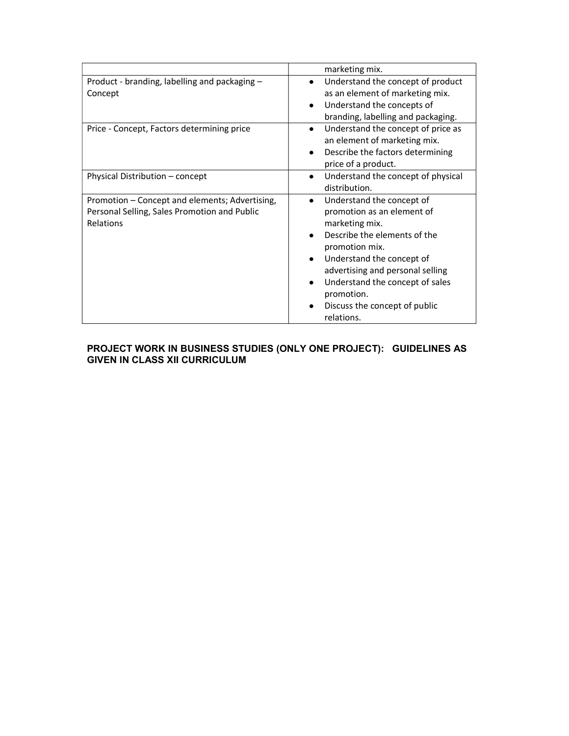|                                                                                                             | marketing mix.                                                                                                                                                                                                                                                                                            |
|-------------------------------------------------------------------------------------------------------------|-----------------------------------------------------------------------------------------------------------------------------------------------------------------------------------------------------------------------------------------------------------------------------------------------------------|
| Product - branding, labelling and packaging -<br>Concept                                                    | Understand the concept of product<br>as an element of marketing mix.<br>Understand the concepts of<br>branding, labelling and packaging.                                                                                                                                                                  |
| Price - Concept, Factors determining price                                                                  | Understand the concept of price as<br>$\bullet$<br>an element of marketing mix.<br>Describe the factors determining<br>price of a product.                                                                                                                                                                |
| Physical Distribution – concept                                                                             | Understand the concept of physical<br>$\bullet$<br>distribution.                                                                                                                                                                                                                                          |
| Promotion - Concept and elements; Advertising,<br>Personal Selling, Sales Promotion and Public<br>Relations | Understand the concept of<br>$\bullet$<br>promotion as an element of<br>marketing mix.<br>Describe the elements of the<br>promotion mix.<br>Understand the concept of<br>advertising and personal selling<br>Understand the concept of sales<br>promotion.<br>Discuss the concept of public<br>relations. |

#### PROJECT WORK IN BUSINESS STUDIES (ONLY ONE PROJECT): GUIDELINES AS GIVEN IN CLASS XII CURRICULUM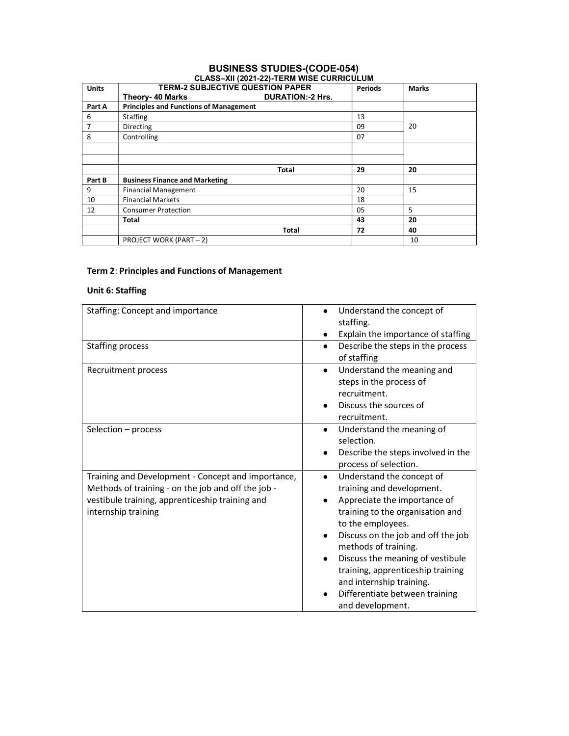# BUSINESS STUDIES-(CODE-054)

| <b>Units</b> | <b>TERM-2 SUBJECTIVE QUESTION PAPER</b>       |                          | <b>Periods</b> | <b>Marks</b> |
|--------------|-----------------------------------------------|--------------------------|----------------|--------------|
|              | <b>Theory-40 Marks</b>                        | <b>DURATION: -2 Hrs.</b> |                |              |
| Part A       | <b>Principles and Functions of Management</b> |                          |                |              |
| 6            | <b>Staffing</b>                               |                          | 13             |              |
| 7            | Directing                                     |                          | 09             | 20           |
| 8            | Controlling                                   |                          | 07             |              |
|              |                                               |                          |                |              |
|              |                                               |                          |                |              |
|              |                                               | <b>Total</b>             | 29             | 20           |
| Part B       | <b>Business Finance and Marketing</b>         |                          |                |              |
| 9            | <b>Financial Management</b>                   |                          | 20             | 15           |
| 10           | <b>Financial Markets</b>                      |                          | 18             |              |
| 12           | <b>Consumer Protection</b>                    |                          | 05             | 5            |
|              | Total                                         |                          | 43             | 20           |
|              |                                               | Total                    | 72             | 40           |
|              | <b>PROJECT WORK (PART-2)</b>                  |                          |                | 10           |

## Term 2: Principles and Functions of Management

#### Unit 6: Staffing

| Staffing: Concept and importance                                                                                                                                                   | Understand the concept of<br>staffing.<br>Explain the importance of staffing<br>٠                                                                                                                                                                                                                                                                                                                  |
|------------------------------------------------------------------------------------------------------------------------------------------------------------------------------------|----------------------------------------------------------------------------------------------------------------------------------------------------------------------------------------------------------------------------------------------------------------------------------------------------------------------------------------------------------------------------------------------------|
| Staffing process                                                                                                                                                                   | Describe the steps in the process<br>$\bullet$<br>of staffing                                                                                                                                                                                                                                                                                                                                      |
| Recruitment process                                                                                                                                                                | Understand the meaning and<br>$\bullet$<br>steps in the process of<br>recruitment.<br>Discuss the sources of<br>recruitment.                                                                                                                                                                                                                                                                       |
| Selection - process                                                                                                                                                                | Understand the meaning of<br>$\bullet$<br>selection.<br>Describe the steps involved in the<br>process of selection.                                                                                                                                                                                                                                                                                |
| Training and Development - Concept and importance,<br>Methods of training - on the job and off the job -<br>vestibule training, apprenticeship training and<br>internship training | Understand the concept of<br>$\bullet$<br>training and development.<br>Appreciate the importance of<br>training to the organisation and<br>to the employees.<br>Discuss on the job and off the job<br>methods of training.<br>Discuss the meaning of vestibule<br>$\bullet$<br>training, apprenticeship training<br>and internship training.<br>Differentiate between training<br>and development. |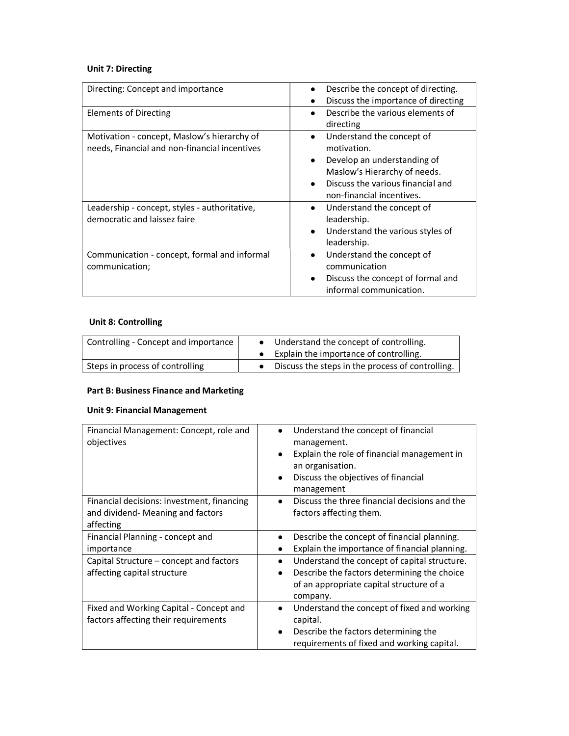# Unit 7: Directing

| Directing: Concept and importance                                                            | Describe the concept of directing.<br>Discuss the importance of directing                                                                                                                                        |
|----------------------------------------------------------------------------------------------|------------------------------------------------------------------------------------------------------------------------------------------------------------------------------------------------------------------|
| Elements of Directing                                                                        | Describe the various elements of<br>directing                                                                                                                                                                    |
| Motivation - concept, Maslow's hierarchy of<br>needs, Financial and non-financial incentives | Understand the concept of<br>$\bullet$<br>motivation.<br>Develop an understanding of<br>$\bullet$<br>Maslow's Hierarchy of needs.<br>Discuss the various financial and<br>$\bullet$<br>non-financial incentives. |
| Leadership - concept, styles - authoritative,<br>democratic and laissez faire                | Understand the concept of<br>$\bullet$<br>leadership.<br>Understand the various styles of<br>$\bullet$<br>leadership.                                                                                            |
| Communication - concept, formal and informal<br>communication;                               | Understand the concept of<br>$\bullet$<br>communication<br>Discuss the concept of formal and<br>$\bullet$<br>informal communication.                                                                             |

## Unit 8: Controlling

| Controlling - Concept and importance | Understand the concept of controlling.           |  |
|--------------------------------------|--------------------------------------------------|--|
|                                      | Explain the importance of controlling.           |  |
| Steps in process of controlling      | Discuss the steps in the process of controlling. |  |

#### Part B: Business Finance and Marketing

# Unit 9: Financial Management

| Financial Management: Concept, role and<br>objectives                                        | Understand the concept of financial<br>management.<br>Explain the role of financial management in<br>an organisation.<br>Discuss the objectives of financial<br>$\bullet$<br>management |
|----------------------------------------------------------------------------------------------|-----------------------------------------------------------------------------------------------------------------------------------------------------------------------------------------|
| Financial decisions: investment, financing<br>and dividend- Meaning and factors<br>affecting | Discuss the three financial decisions and the<br>factors affecting them.                                                                                                                |
| Financial Planning - concept and<br>importance                                               | Describe the concept of financial planning.<br>Explain the importance of financial planning.                                                                                            |
| Capital Structure – concept and factors<br>affecting capital structure                       | Understand the concept of capital structure.<br>Describe the factors determining the choice<br>$\bullet$<br>of an appropriate capital structure of a<br>company.                        |
| Fixed and Working Capital - Concept and<br>factors affecting their requirements              | Understand the concept of fixed and working<br>capital.<br>Describe the factors determining the<br>requirements of fixed and working capital.                                           |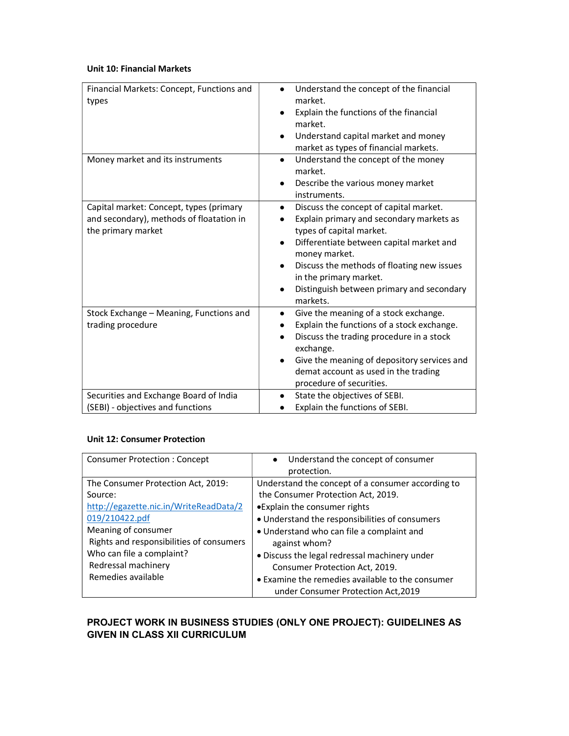#### Unit 10: Financial Markets

| Financial Markets: Concept, Functions and<br>types                                                        | Understand the concept of the financial<br>market.<br>Explain the functions of the financial<br>market.<br>Understand capital market and money<br>$\bullet$<br>market as types of financial markets.                                                                                                                           |
|-----------------------------------------------------------------------------------------------------------|--------------------------------------------------------------------------------------------------------------------------------------------------------------------------------------------------------------------------------------------------------------------------------------------------------------------------------|
| Money market and its instruments                                                                          | Understand the concept of the money<br>$\bullet$<br>market.<br>Describe the various money market<br>instruments.                                                                                                                                                                                                               |
| Capital market: Concept, types (primary<br>and secondary), methods of floatation in<br>the primary market | Discuss the concept of capital market.<br>$\bullet$<br>Explain primary and secondary markets as<br>types of capital market.<br>Differentiate between capital market and<br>money market.<br>Discuss the methods of floating new issues<br>in the primary market.<br>Distinguish between primary and secondary<br>٠<br>markets. |
| Stock Exchange - Meaning, Functions and<br>trading procedure                                              | Give the meaning of a stock exchange.<br>$\bullet$<br>Explain the functions of a stock exchange.<br>Discuss the trading procedure in a stock<br>exchange.<br>Give the meaning of depository services and<br>demat account as used in the trading<br>procedure of securities.                                                   |
| Securities and Exchange Board of India<br>(SEBI) - objectives and functions                               | State the objectives of SEBI.<br>Explain the functions of SEBI.                                                                                                                                                                                                                                                                |

### Unit 12: Consumer Protection

| <b>Consumer Protection: Concept</b>      | • Understand the concept of consumer<br>protection. |
|------------------------------------------|-----------------------------------------------------|
| The Consumer Protection Act, 2019:       | Understand the concept of a consumer according to   |
| Source:                                  | the Consumer Protection Act, 2019.                  |
| http://egazette.nic.in/WriteReadData/2   | •Explain the consumer rights                        |
| 019/210422.pdf                           | • Understand the responsibilities of consumers      |
| Meaning of consumer                      | • Understand who can file a complaint and           |
| Rights and responsibilities of consumers | against whom?                                       |
| Who can file a complaint?                | · Discuss the legal redressal machinery under       |
| Redressal machinery                      | Consumer Protection Act, 2019.                      |
| Remedies available                       | • Examine the remedies available to the consumer    |
|                                          | under Consumer Protection Act, 2019                 |

# PROJECT WORK IN BUSINESS STUDIES (ONLY ONE PROJECT): GUIDELINES AS GIVEN IN CLASS XII CURRICULUM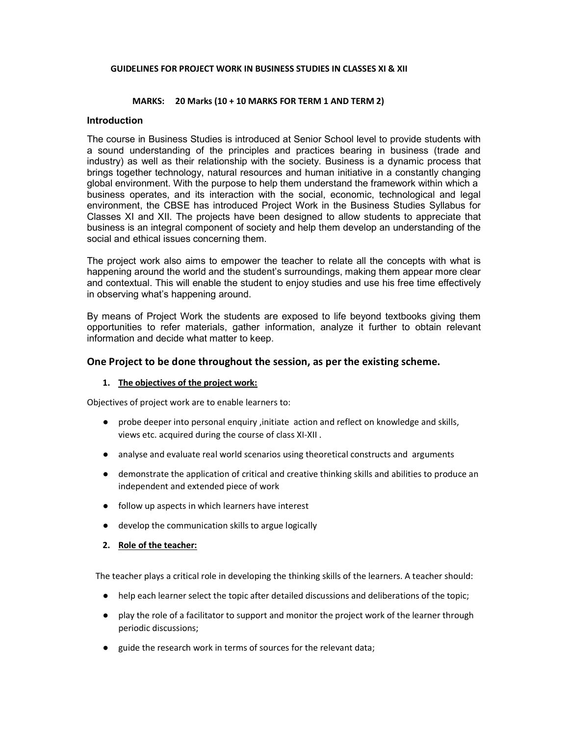#### GUIDELINES FOR PROJECT WORK IN BUSINESS STUDIES IN CLASSES XI & XII

#### MARKS: 20 Marks (10 + 10 MARKS FOR TERM 1 AND TERM 2)

#### **Introduction**

The course in Business Studies is introduced at Senior School level to provide students with a sound understanding of the principles and practices bearing in business (trade and industry) as well as their relationship with the society. Business is a dynamic process that brings together technology, natural resources and human initiative in a constantly changing global environment. With the purpose to help them understand the framework within which a business operates, and its interaction with the social, economic, technological and legal environment, the CBSE has introduced Project Work in the Business Studies Syllabus for Classes XI and XII. The projects have been designed to allow students to appreciate that business is an integral component of society and help them develop an understanding of the social and ethical issues concerning them.

The project work also aims to empower the teacher to relate all the concepts with what is happening around the world and the student's surroundings, making them appear more clear and contextual. This will enable the student to enjoy studies and use his free time effectively in observing what's happening around.

By means of Project Work the students are exposed to life beyond textbooks giving them opportunities to refer materials, gather information, analyze it further to obtain relevant information and decide what matter to keep.

#### One Project to be done throughout the session, as per the existing scheme.

#### 1. The objectives of the project work:

Objectives of project work are to enable learners to:

- probe deeper into personal enquiry, initiate action and reflect on knowledge and skills, views etc. acquired during the course of class XI-XII .
- analyse and evaluate real world scenarios using theoretical constructs and arguments
- demonstrate the application of critical and creative thinking skills and abilities to produce an independent and extended piece of work
- follow up aspects in which learners have interest
- develop the communication skills to argue logically
- 2. Role of the teacher:

The teacher plays a critical role in developing the thinking skills of the learners. A teacher should:

- help each learner select the topic after detailed discussions and deliberations of the topic;
- play the role of a facilitator to support and monitor the project work of the learner through periodic discussions;
- guide the research work in terms of sources for the relevant data;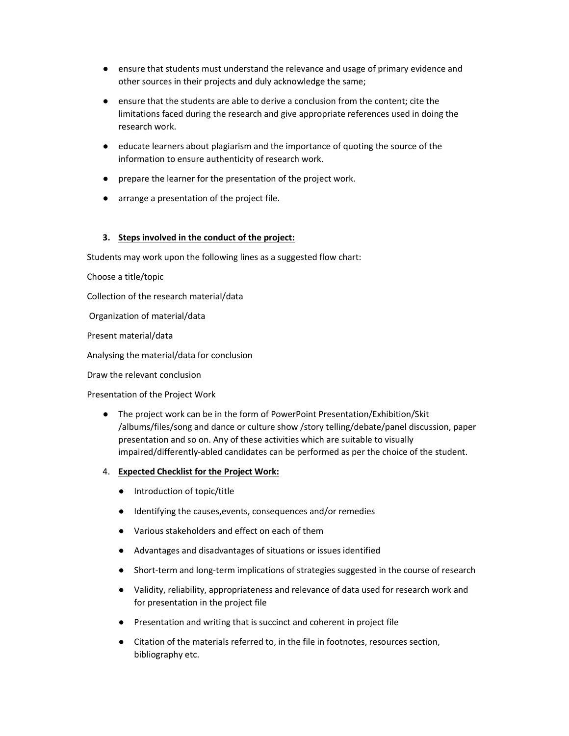- ensure that students must understand the relevance and usage of primary evidence and other sources in their projects and duly acknowledge the same; other sources in their projects and duly acknowledge the same;
- ensure that the students are able to derive a conclusion from the content; cite the limitations faced during the research and give appropriate references used in doing the research work. ensure that the students are able to derive a conclusion from the content; cite the<br>limitations faced during the research and give appropriate references used in doing the<br>research work.<br>educate learners about plagiarism a
- educate learners about plagiarism and the importance of quoting the source of the information to ensure authenticity of research work.
- prepare the learner for the presentation of the project work. information<br>prepare the<br>arrange a pr
- arrange a presentation of the project file.

#### 3. Steps involved in the conduct of the project: Steps

Students may work upon the following lines as a suggested flow chart:

Choose a title/topic

Collection of the research material/data

Organization of material/data

Present material/data

Analysing the material/data for conclusion

Draw the relevant conclusion

Presentation of the Project Work

- The project work can be in the form of PowerPoint Presentation/Exhibition/Skit /albums/files/song and dance or culture show /story telling/debate/panel discussion, paper presentation and so on. Any of these activities which are suitable to visually impaired/differently-abled candidates can be performed as per the choice of the student. ts may work upon the following lines as a suggested flow chart:<br>
a title/topic<br>
ion of the research material/data<br>
aztion of material/data<br>
t material/data<br>
t material/data<br>
for conclusion<br>
are relevant conclusion<br>
tation ensure that students must understand the relevance and usage of primary every<br>the sources in their projects and duly acknowledge the same;<br>
ensure that the students are able to derive a conclusion from the content; cill<br>im
- 4. Expected Checklist for the Project Work:
	- Introduction of topic/title
	- Identifying the causes,events, consequences and/or remedies
	- Various stakeholders and effect on each of them
	- Advantages and disadvantages of situations or issues identified
	- Short-term and long-term implications of strategies suggested in the course of research • Various stakeholders and effect on each of them<br>
	● Advantages and disadvantages of situations or issues identified<br>
	● Short-term and long-term implications of strategies suggested in the course of research<br>
	● Validity,
	- for presentation in the project file
	- Presentation and writing that is succinct and coherent in project file
	- Citation of the materials referred to, in the file in footnotes, resources section, bibliography etc.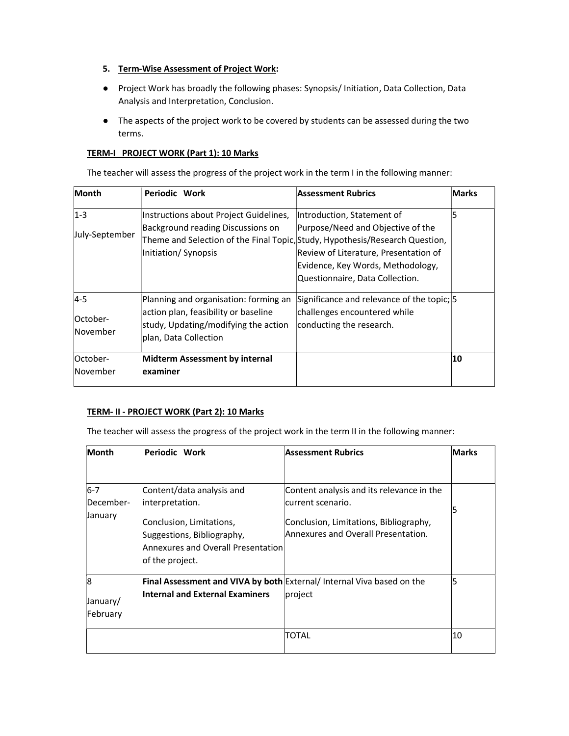#### 5. Term-Wise Assessment of Project Work:

- Project Work has broadly the following phases: Synopsis/ Initiation, Data Collection, Data Analysis and Interpretation, Conclusion.
- The aspects of the project work to be covered by students can be assessed during the two terms.

## TERM-I PROJECT WORK (Part 1): 10 Marks

The teacher will assess the progress of the project work in the term I in the following manner:

| Month                             | Periodic Work                                                                                                                                  | Assessment Rubrics                                                                                                                                                                                                                                               | <b>Marks</b> |
|-----------------------------------|------------------------------------------------------------------------------------------------------------------------------------------------|------------------------------------------------------------------------------------------------------------------------------------------------------------------------------------------------------------------------------------------------------------------|--------------|
| $1 - 3$<br>July-September         | Instructions about Project Guidelines,<br><b>Background reading Discussions on</b><br>Initiation/Synopsis                                      | Introduction, Statement of<br>Purpose/Need and Objective of the<br>Theme and Selection of the Final Topic, Study, Hypothesis/Research Question,<br>Review of Literature, Presentation of<br>Evidence, Key Words, Methodology,<br>Questionnaire, Data Collection. | 5            |
| $4 - 5$<br>lOctober-<br>lNovember | Planning and organisation: forming an<br>action plan, feasibility or baseline<br>study, Updating/modifying the action<br>plan, Data Collection | Significance and relevance of the topic; 5<br>challenges encountered while<br>conducting the research.                                                                                                                                                           |              |
| lOctober-<br>November             | Midterm Assessment by internal<br>examiner                                                                                                     |                                                                                                                                                                                                                                                                  | 10           |

### TERM- II - PROJECT WORK (Part 2): 10 Marks

The teacher will assess the progress of the project work in the term II in the following manner:

| Month          | Periodic Work                                                                                                   | <b>Assessment Rubrics</b>                                                     | <b>Marks</b> |
|----------------|-----------------------------------------------------------------------------------------------------------------|-------------------------------------------------------------------------------|--------------|
|                |                                                                                                                 |                                                                               |              |
| $6-7$          | Content/data analysis and                                                                                       | Content analysis and its relevance in the                                     |              |
| December-      | interpretation.                                                                                                 | current scenario.                                                             |              |
| January        | Conclusion, Limitations,<br>Suggestions, Bibliography,<br>Annexures and Overall Presentation<br>of the project. | Conclusion, Limitations, Bibliography,<br>Annexures and Overall Presentation. |              |
| $\overline{8}$ |                                                                                                                 | Final Assessment and VIVA by both External/ Internal Viva based on the        |              |
| January/       | <b>Internal and External Examiners</b>                                                                          | project                                                                       |              |
| February       |                                                                                                                 |                                                                               |              |
|                |                                                                                                                 | TOTAL                                                                         | 10           |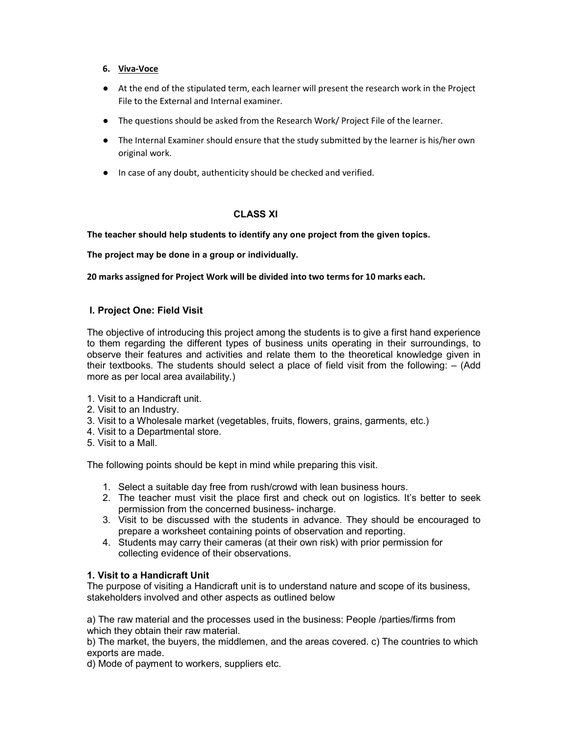#### 6. Viva-Voce

- At the end of the stipulated term, each learner will present the research work in the Project File to the External and Internal examiner.
- The questions should be asked from the Research Work/ Project File of the learner.
- The Internal Examiner should ensure that the study submitted by the learner is his/her own original work.
- In case of any doubt, authenticity should be checked and verified.

### CLASS XI

#### The teacher should help students to identify any one project from the given topics.

The project may be done in a group or individually.

20 marks assigned for Project Work will be divided into two terms for 10 marks each.

#### I. Project One: Field Visit

The objective of introducing this project among the students is to give a first hand experience to them regarding the different types of business units operating in their surroundings, to observe their features and activities and relate them to the theoretical knowledge given in their textbooks. The students should select a place of field visit from the following: – (Add more as per local area availability.)

- 1. Visit to a Handicraft unit.
- 2. Visit to an Industry.
- 3. Visit to a Wholesale market (vegetables, fruits, flowers, grains, garments, etc.)
- 4. Visit to a Departmental store.
- 5. Visit to a Mall.

The following points should be kept in mind while preparing this visit.

- 1. Select a suitable day free from rush/crowd with lean business hours.
- 2. The teacher must visit the place first and check out on logistics. It's better to seek permission from the concerned business- incharge.
- 3. Visit to be discussed with the students in advance. They should be encouraged to prepare a worksheet containing points of observation and reporting.
- 4. Students may carry their cameras (at their own risk) with prior permission for collecting evidence of their observations.

### 1. Visit to a Handicraft Unit

The purpose of visiting a Handicraft unit is to understand nature and scope of its business, stakeholders involved and other aspects as outlined below

a) The raw material and the processes used in the business: People /parties/firms from which they obtain their raw material.

b) The market, the buyers, the middlemen, and the areas covered. c) The countries to which exports are made.

d) Mode of payment to workers, suppliers etc.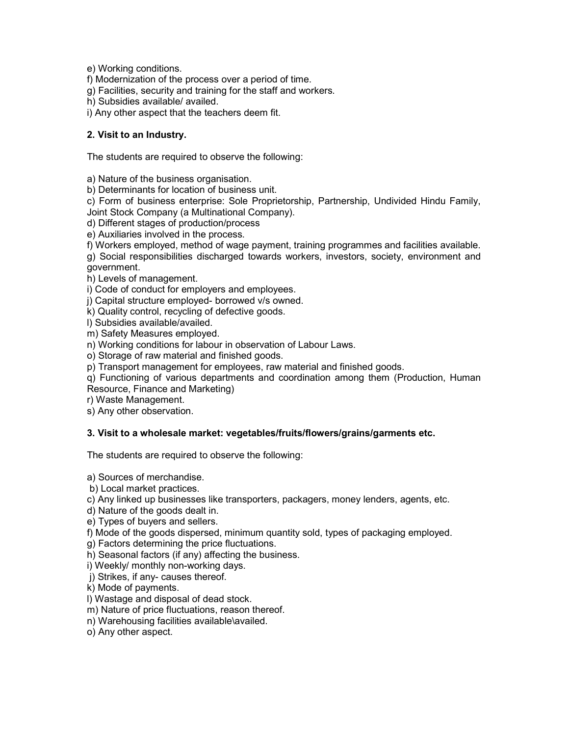e) Working conditions.

f) Modernization of the process over a period of time.

g) Facilities, security and training for the staff and workers.

h) Subsidies available/ availed.

i) Any other aspect that the teachers deem fit.

## 2. Visit to an Industry.

The students are required to observe the following:

a) Nature of the business organisation.

b) Determinants for location of business unit.

c) Form of business enterprise: Sole Proprietorship, Partnership, Undivided Hindu Family, Joint Stock Company (a Multinational Company).

d) Different stages of production/process

e) Auxiliaries involved in the process.

f) Workers employed, method of wage payment, training programmes and facilities available.

g) Social responsibilities discharged towards workers, investors, society, environment and government.

h) Levels of management.

i) Code of conduct for employers and employees.

j) Capital structure employed- borrowed v/s owned.

k) Quality control, recycling of defective goods.

l) Subsidies available/availed.

m) Safety Measures employed.

n) Working conditions for labour in observation of Labour Laws.

o) Storage of raw material and finished goods.

p) Transport management for employees, raw material and finished goods.

q) Functioning of various departments and coordination among them (Production, Human Resource, Finance and Marketing)

r) Waste Management.

s) Any other observation.

### 3. Visit to a wholesale market: vegetables/fruits/flowers/grains/garments etc.

The students are required to observe the following:

a) Sources of merchandise.

b) Local market practices.

c) Any linked up businesses like transporters, packagers, money lenders, agents, etc.

d) Nature of the goods dealt in.

e) Types of buyers and sellers.

f) Mode of the goods dispersed, minimum quantity sold, types of packaging employed.

g) Factors determining the price fluctuations.

h) Seasonal factors (if any) affecting the business.

i) Weekly/ monthly non-working days.

j) Strikes, if any- causes thereof.

k) Mode of payments.

l) Wastage and disposal of dead stock.

m) Nature of price fluctuations, reason thereof.

n) Warehousing facilities available\availed.

o) Any other aspect.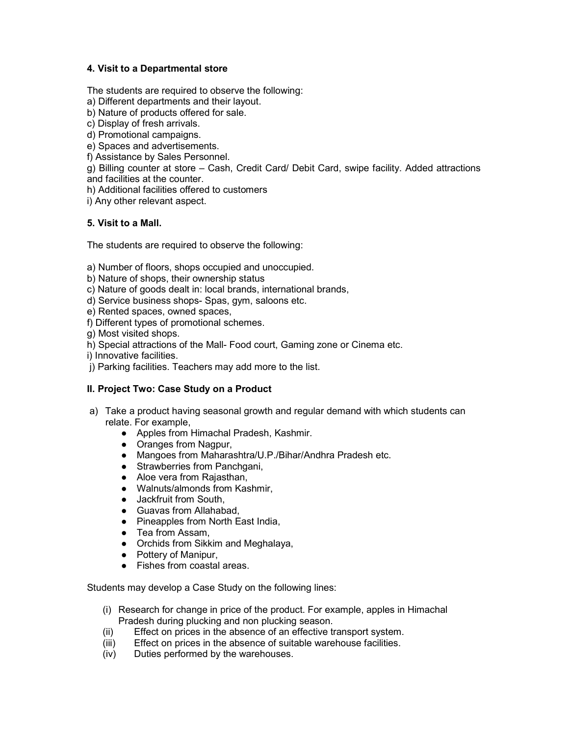## 4. Visit to a Departmental store

The students are required to observe the following:

- a) Different departments and their layout.
- b) Nature of products offered for sale.
- c) Display of fresh arrivals.
- d) Promotional campaigns.
- e) Spaces and advertisements.
- f) Assistance by Sales Personnel.
- g) Billing counter at store Cash, Credit Card/ Debit Card, swipe facility. Added attractions and facilities at the counter.
- h) Additional facilities offered to customers
- i) Any other relevant aspect.

## 5. Visit to a Mall.

The students are required to observe the following:

- a) Number of floors, shops occupied and unoccupied.
- b) Nature of shops, their ownership status
- c) Nature of goods dealt in: local brands, international brands,
- d) Service business shops- Spas, gym, saloons etc.
- e) Rented spaces, owned spaces,
- f) Different types of promotional schemes.
- g) Most visited shops.
- h) Special attractions of the Mall- Food court, Gaming zone or Cinema etc.
- i) Innovative facilities.
- j) Parking facilities. Teachers may add more to the list.

## II. Project Two: Case Study on a Product

- a) Take a product having seasonal growth and regular demand with which students can relate. For example,
	- Apples from Himachal Pradesh, Kashmir.
	- Oranges from Nagpur,
	- Mangoes from Maharashtra/U.P./Bihar/Andhra Pradesh etc.
	- Strawberries from Panchgani,
	- Aloe vera from Rajasthan,
	- Walnuts/almonds from Kashmir,
	- Jackfruit from South,
	- Guavas from Allahabad.
	- Pineapples from North East India,
	- Tea from Assam,
	- Orchids from Sikkim and Meghalaya,
	- Pottery of Manipur,
	- Fishes from coastal areas

Students may develop a Case Study on the following lines:

- (i) Research for change in price of the product. For example, apples in Himachal Pradesh during plucking and non plucking season.
- (ii) Effect on prices in the absence of an effective transport system.
- (iii) Effect on prices in the absence of suitable warehouse facilities.
- (iv) Duties performed by the warehouses.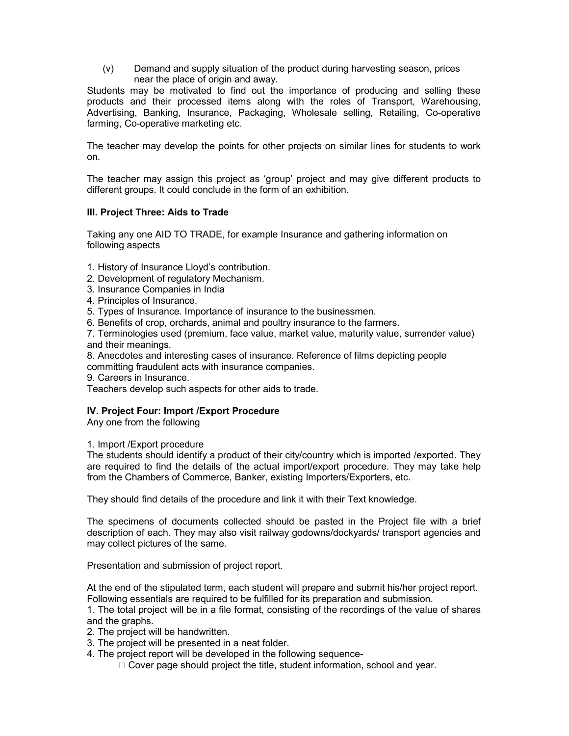(v) Demand and supply situation of the product during harvesting season, prices near the place of origin and away.

Students may be motivated to find out the importance of producing and selling these products and their processed items along with the roles of Transport, Warehousing, Advertising, Banking, Insurance, Packaging, Wholesale selling, Retailing, Co-operative farming, Co-operative marketing etc.

The teacher may develop the points for other projects on similar lines for students to work on.

The teacher may assign this project as 'group' project and may give different products to different groups. It could conclude in the form of an exhibition.

### III. Project Three: Aids to Trade

Taking any one AID TO TRADE, for example Insurance and gathering information on following aspects

- 1. History of Insurance Lloyd's contribution.
- 2. Development of regulatory Mechanism.
- 3. Insurance Companies in India
- 4. Principles of Insurance.
- 5. Types of Insurance. Importance of insurance to the businessmen.
- 6. Benefits of crop, orchards, animal and poultry insurance to the farmers.

7. Terminologies used (premium, face value, market value, maturity value, surrender value) and their meanings.

8. Anecdotes and interesting cases of insurance. Reference of films depicting people

committing fraudulent acts with insurance companies.

9. Careers in Insurance.

Teachers develop such aspects for other aids to trade.

### IV. Project Four: Import /Export Procedure

Any one from the following

#### 1. Import /Export procedure

The students should identify a product of their city/country which is imported /exported. They are required to find the details of the actual import/export procedure. They may take help from the Chambers of Commerce, Banker, existing Importers/Exporters, etc.

They should find details of the procedure and link it with their Text knowledge.

The specimens of documents collected should be pasted in the Project file with a brief description of each. They may also visit railway godowns/dockyards/ transport agencies and may collect pictures of the same.

Presentation and submission of project report.

At the end of the stipulated term, each student will prepare and submit his/her project report. Following essentials are required to be fulfilled for its preparation and submission.

1. The total project will be in a file format, consisting of the recordings of the value of shares and the graphs.

- 2. The project will be handwritten.
- 3. The project will be presented in a neat folder.
- 4. The project report will be developed in the following sequence-
	- $\Box$  Cover page should project the title, student information, school and year.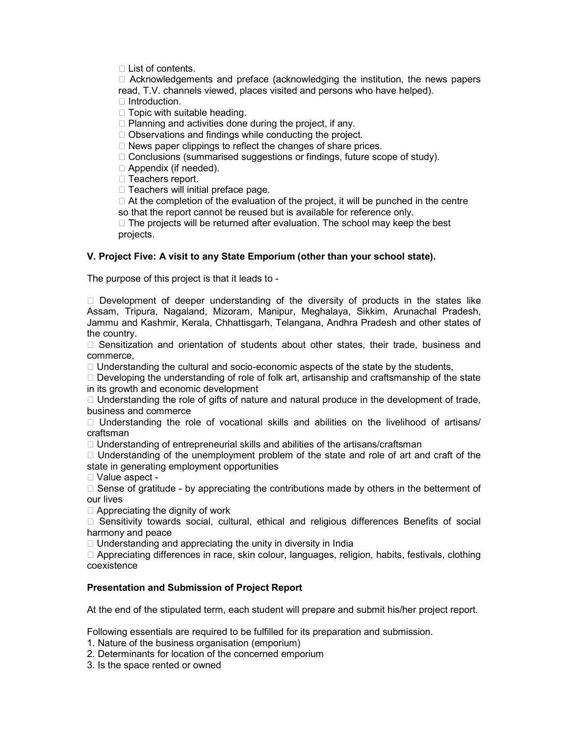$\Box$  List of contents.

 $\Box$  Acknowledgements and preface (acknowledging the institution, the news papers read, T.V. channels viewed, places visited and persons who have helped).  $\Box$  Introduction.

 $\Box$  Topic with suitable heading.

 $\Box$  Planning and activities done during the project, if any.

 $\Box$  Observations and findings while conducting the project.

 $\Box$  News paper clippings to reflect the changes of share prices.

 $\Box$  Conclusions (summarised suggestions or findings, future scope of study).

□ Appendix (if needed).

 $\Box$  Teachers report.

 $\Box$  Teachers will initial preface page.

 $\Box$  At the completion of the evaluation of the project, it will be punched in the centre so that the report cannot be reused but is available for reference only.

 $\Box$  The projects will be returned after evaluation. The school may keep the best projects.

### V. Project Five: A visit to any State Emporium (other than your school state).

The purpose of this project is that it leads to -

 $\Box$  Development of deeper understanding of the diversity of products in the states like Assam, Tripura, Nagaland, Mizoram, Manipur, Meghalaya, Sikkim, Arunachal Pradesh, Jammu and Kashmir, Kerala, Chhattisgarh, Telangana, Andhra Pradesh and other states of the country.

 $\Box$  Sensitization and orientation of students about other states, their trade, business and commerce,

 $\Box$  Understanding the cultural and socio-economic aspects of the state by the students,

 $\Box$  Developing the understanding of role of folk art, artisanship and craftsmanship of the state in its growth and economic development

 $\Box$  Understanding the role of gifts of nature and natural produce in the development of trade, business and commerce

 $\Box$  Understanding the role of vocational skills and abilities on the livelihood of artisans/ craftsman

 $\Box$  Understanding of entrepreneurial skills and abilities of the artisans/craftsman

 $\Box$  Understanding of the unemployment problem of the state and role of art and craft of the state in generating employment opportunities

□ Value aspect -

 $\Box$  Sense of gratitude - by appreciating the contributions made by others in the betterment of our lives

 $\Box$  Appreciating the dignity of work

□ Sensitivity towards social, cultural, ethical and religious differences Benefits of social harmony and peace

 $\Box$  Understanding and appreciating the unity in diversity in India

 $\Box$  Appreciating differences in race, skin colour, languages, religion, habits, festivals, clothing coexistence

### Presentation and Submission of Project Report

At the end of the stipulated term, each student will prepare and submit his/her project report.

Following essentials are required to be fulfilled for its preparation and submission.

1. Nature of the business organisation (emporium)

2. Determinants for location of the concerned emporium

3. Is the space rented or owned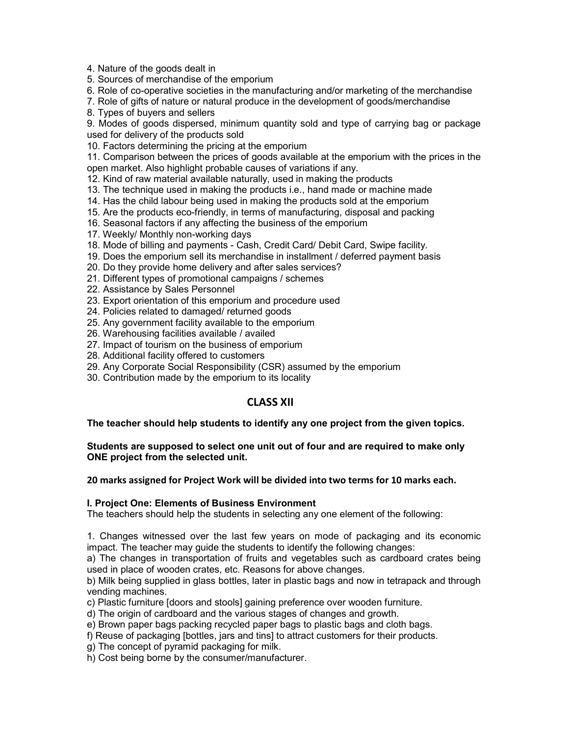4. Nature of the goods dealt in

5. Sources of merchandise of the emporium

6. Role of co-operative societies in the manufacturing and/or marketing of the merchandise

7. Role of gifts of nature or natural produce in the development of goods/merchandise

8. Types of buyers and sellers

9. Modes of goods dispersed, minimum quantity sold and type of carrying bag or package used for delivery of the products sold

10. Factors determining the pricing at the emporium

11. Comparison between the prices of goods available at the emporium with the prices in the open market. Also highlight probable causes of variations if any.

12. Kind of raw material available naturally, used in making the products

- 13. The technique used in making the products i.e., hand made or machine made
- 14. Has the child labour being used in making the products sold at the emporium
- 15. Are the products eco-friendly, in terms of manufacturing, disposal and packing
- 16. Seasonal factors if any affecting the business of the emporium
- 17. Weekly/ Monthly non-working days
- 18. Mode of billing and payments Cash, Credit Card/ Debit Card, Swipe facility.
- 19. Does the emporium sell its merchandise in installment / deferred payment basis
- 20. Do they provide home delivery and after sales services?
- 21. Different types of promotional campaigns / schemes
- 22. Assistance by Sales Personnel
- 23. Export orientation of this emporium and procedure used
- 24. Policies related to damaged/ returned goods
- 25. Any government facility available to the emporium
- 26. Warehousing facilities available / availed
- 27. Impact of tourism on the business of emporium
- 28. Additional facility offered to customers
- 29. Any Corporate Social Responsibility (CSR) assumed by the emporium
- 30. Contribution made by the emporium to its locality

## CLASS XII

#### The teacher should help students to identify any one project from the given topics.

#### Students are supposed to select one unit out of four and are required to make only ONE project from the selected unit.

20 marks assigned for Project Work will be divided into two terms for 10 marks each.

#### I. Project One: Elements of Business Environment

The teachers should help the students in selecting any one element of the following:

1. Changes witnessed over the last few years on mode of packaging and its economic impact. The teacher may guide the students to identify the following changes:

a) The changes in transportation of fruits and vegetables such as cardboard crates being used in place of wooden crates, etc. Reasons for above changes.

b) Milk being supplied in glass bottles, later in plastic bags and now in tetrapack and through vending machines.

c) Plastic furniture [doors and stools] gaining preference over wooden furniture.

d) The origin of cardboard and the various stages of changes and growth.

- e) Brown paper bags packing recycled paper bags to plastic bags and cloth bags.
- f) Reuse of packaging [bottles, jars and tins] to attract customers for their products.
- g) The concept of pyramid packaging for milk.
- h) Cost being borne by the consumer/manufacturer.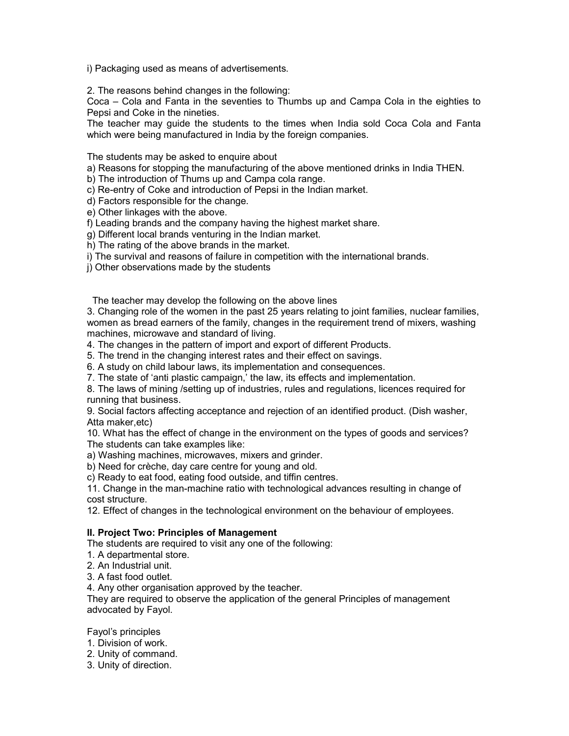i) Packaging used as means of advertisements.

2. The reasons behind changes in the following:

Coca – Cola and Fanta in the seventies to Thumbs up and Campa Cola in the eighties to Pepsi and Coke in the nineties.

The teacher may guide the students to the times when India sold Coca Cola and Fanta which were being manufactured in India by the foreign companies.

The students may be asked to enquire about

- a) Reasons for stopping the manufacturing of the above mentioned drinks in India THEN.
- b) The introduction of Thums up and Campa cola range.
- c) Re-entry of Coke and introduction of Pepsi in the Indian market.
- d) Factors responsible for the change.

e) Other linkages with the above.

- f) Leading brands and the company having the highest market share.
- g) Different local brands venturing in the Indian market.
- h) The rating of the above brands in the market.
- i) The survival and reasons of failure in competition with the international brands.
- j) Other observations made by the students

The teacher may develop the following on the above lines

3. Changing role of the women in the past 25 years relating to joint families, nuclear families, women as bread earners of the family, changes in the requirement trend of mixers, washing machines, microwave and standard of living.

4. The changes in the pattern of import and export of different Products.

5. The trend in the changing interest rates and their effect on savings.

6. A study on child labour laws, its implementation and consequences.

7. The state of 'anti plastic campaign,' the law, its effects and implementation.

8. The laws of mining /setting up of industries, rules and regulations, licences required for running that business.

9. Social factors affecting acceptance and rejection of an identified product. (Dish washer, Atta maker,etc)

10. What has the effect of change in the environment on the types of goods and services? The students can take examples like:

a) Washing machines, microwaves, mixers and grinder.

b) Need for crèche, day care centre for young and old.

c) Ready to eat food, eating food outside, and tiffin centres.

11. Change in the man-machine ratio with technological advances resulting in change of cost structure.

12. Effect of changes in the technological environment on the behaviour of employees.

### II. Project Two: Principles of Management

The students are required to visit any one of the following:

- 1. A departmental store.
- 2. An Industrial unit.
- 3. A fast food outlet.

4. Any other organisation approved by the teacher.

They are required to observe the application of the general Principles of management advocated by Fayol.

Fayol's principles

- 1. Division of work.
- 2. Unity of command.
- 3. Unity of direction.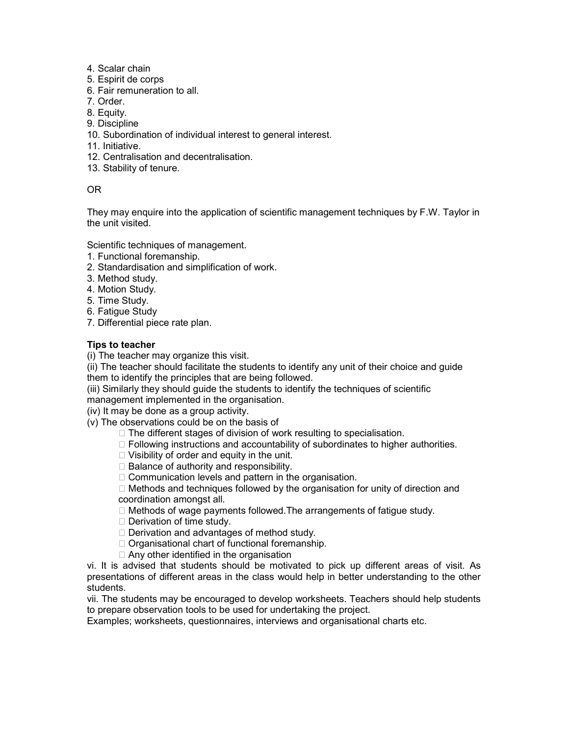- 4. Scalar chain
- 5. Espirit de corps
- 6. Fair remuneration to all.
- 7. Order.
- 8. Equity.
- 9. Discipline
- 10. Subordination of individual interest to general interest.
- 11. Initiative.
- 12. Centralisation and decentralisation.
- 13. Stability of tenure.

## OR

They may enquire into the application of scientific management techniques by F.W. Taylor in the unit visited.

Scientific techniques of management.

- 1. Functional foremanship.
- 2. Standardisation and simplification of work.
- 3. Method study.
- 4. Motion Study.
- 5. Time Study.
- 6. Fatigue Study
- 7. Differential piece rate plan.

## Tips to teacher

(i) The teacher may organize this visit.

(ii) The teacher should facilitate the students to identify any unit of their choice and guide them to identify the principles that are being followed.

(iii) Similarly they should guide the students to identify the techniques of scientific

management implemented in the organisation.

(iv) It may be done as a group activity.

(v) The observations could be on the basis of

- □ The different stages of division of work resulting to specialisation.
- $\Box$  Following instructions and accountability of subordinates to higher authorities.
- $\Box$  Visibility of order and equity in the unit.
- $\Box$  Balance of authority and responsibility.

 $\Box$  Communication levels and pattern in the organisation.

 $\Box$  Methods and techniques followed by the organisation for unity of direction and coordination amongst all.

- $\Box$  Methods of wage payments followed. The arrangements of fatigue study.
- $\square$  Derivation of time study.
- $\Box$  Derivation and advantages of method study.
- $\Box$  Organisational chart of functional foremanship.
- $\Box$  Any other identified in the organisation

vi. It is advised that students should be motivated to pick up different areas of visit. As presentations of different areas in the class would help in better understanding to the other students.

vii. The students may be encouraged to develop worksheets. Teachers should help students to prepare observation tools to be used for undertaking the project.

Examples; worksheets, questionnaires, interviews and organisational charts etc.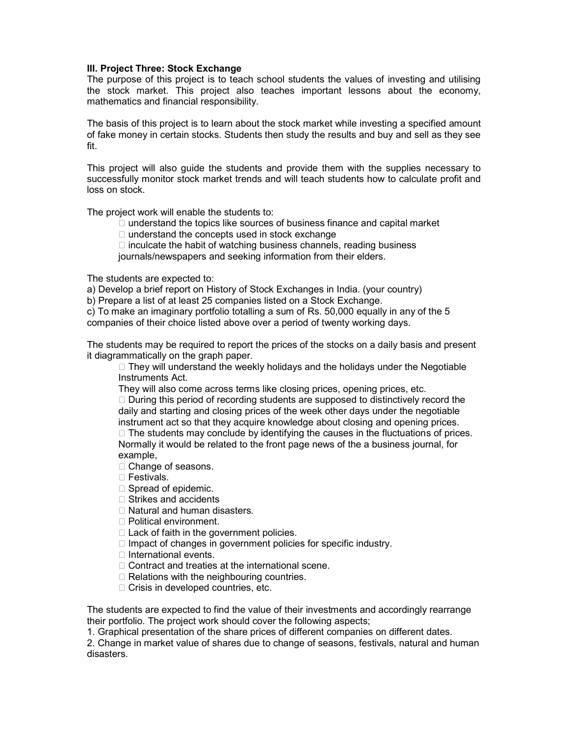#### III. Project Three: Stock Exchange

The purpose of this project is to teach school students the values of investing and utilising the stock market. This project also teaches important lessons about the economy, mathematics and financial responsibility.

The basis of this project is to learn about the stock market while investing a specified amount of fake money in certain stocks. Students then study the results and buy and sell as they see fit.

This project will also guide the students and provide them with the supplies necessary to successfully monitor stock market trends and will teach students how to calculate profit and loss on stock.

The project work will enable the students to:

- $\Box$  understand the topics like sources of business finance and capital market
- $\Box$  understand the concepts used in stock exchange
- $\Box$  inculcate the habit of watching business channels, reading business

journals/newspapers and seeking information from their elders.

The students are expected to:

a) Develop a brief report on History of Stock Exchanges in India. (your country)

b) Prepare a list of at least 25 companies listed on a Stock Exchange.

c) To make an imaginary portfolio totalling a sum of Rs. 50,000 equally in any of the 5 companies of their choice listed above over a period of twenty working days.

The students may be required to report the prices of the stocks on a daily basis and present it diagrammatically on the graph paper.

 $\Box$  They will understand the weekly holidays and the holidays under the Negotiable Instruments Act.

They will also come across terms like closing prices, opening prices, etc.

 $\Box$  During this period of recording students are supposed to distinctively record the daily and starting and closing prices of the week other days under the negotiable instrument act so that they acquire knowledge about closing and opening prices.

 $\Box$  The students may conclude by identifying the causes in the fluctuations of prices. Normally it would be related to the front page news of the a business journal, for example,

- □ Change of seasons.
- □ Festivals.
- $\Box$  Spread of epidemic.
- $\Box$  Strikes and accidents
- $\Box$  Natural and human disasters.
- □ Political environment.
- $\Box$  Lack of faith in the government policies.
- $\Box$  Impact of changes in government policies for specific industry.
- $\Box$  International events.
- □ Contract and treaties at the international scene.
- $\Box$  Relations with the neighbouring countries.
- □ Crisis in developed countries, etc.

The students are expected to find the value of their investments and accordingly rearrange their portfolio. The project work should cover the following aspects;

1. Graphical presentation of the share prices of different companies on different dates.

2. Change in market value of shares due to change of seasons, festivals, natural and human disasters.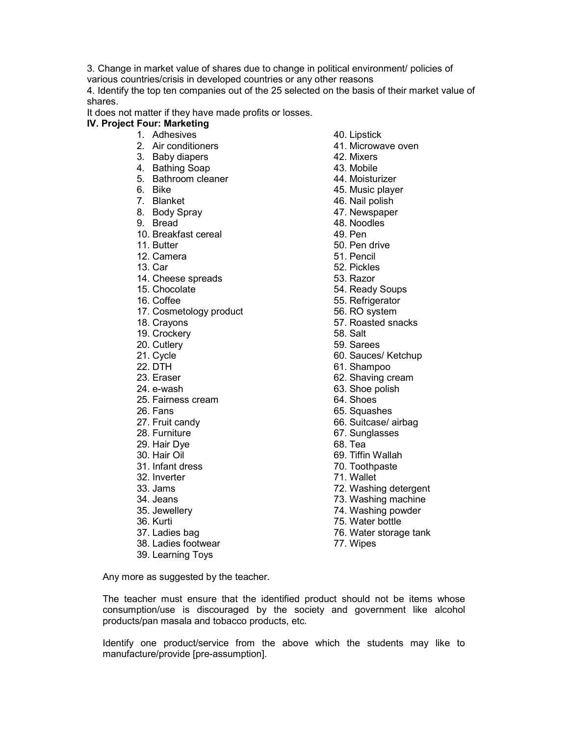3. Change in market value of shares due to change in political environment/ policies of various countries/crisis in developed countries or any other reasons

4. Identify the top ten companies out of the 25 selected on the basis of their market value of shares.

It does not matter if they have made profits or losses.

# IV. Project Four: Marketing

- 1. Adhesives
- 2. Air conditioners
- 3. Baby diapers
- 4. Bathing Soap
- 5. Bathroom cleaner
- 6. Bike
- 7. Blanket
- 8. Body Spray
- 9. Bread
- 10. Breakfast cereal
- 11. Butter
- 12. Camera
- 13. Car
- 14. Cheese spreads
- 15. Chocolate
- 16. Coffee
- 17. Cosmetology product
- 18. Crayons
- 19. Crockery
- 20. Cutlery
- 21. Cycle
- 22. DTH
- 23. Eraser
- 24. e-wash
- 25. Fairness cream
- 26. Fans
- 27. Fruit candy
- 28. Furniture
- 29. Hair Dye
- 30. Hair Oil
- 31. Infant dress
- 32. Inverter
- 33. Jams
- 34. Jeans
- 35. Jewellery
- 36. Kurti
- 37. Ladies bag
- 38. Ladies footwear
- 39. Learning Toys
- 40. Lipstick
- 41. Microwave oven
- 42. Mixers
- 43. Mobile
- 44. Moisturizer
- 45. Music player
- 46. Nail polish
- 47. Newspaper
- 48. Noodles
- 49. Pen
- 50. Pen drive
- 51. Pencil
- 52. Pickles
- 53. Razor
- 54. Ready Soups
- 55. Refrigerator
- 56. RO system
- 57. Roasted snacks
- 58. Salt
- 59. Sarees
- 
- 60. Sauces/ Ketchup
- 61. Shampoo
- 62. Shaving cream
- 63. Shoe polish
- 64. Shoes
- 65. Squashes
- 66. Suitcase/ airbag
- 67. Sunglasses
- 68. Tea
- 69. Tiffin Wallah
- 70. Toothpaste
- 71. Wallet
- 72. Washing detergent
- 73. Washing machine
- 74. Washing powder
- 75. Water bottle
- 76. Water storage tank
- 77. Wipes

Any more as suggested by the teacher.

The teacher must ensure that the identified product should not be items whose consumption/use is discouraged by the society and government like alcohol products/pan masala and tobacco products, etc.

Identify one product/service from the above which the students may like to manufacture/provide [pre-assumption].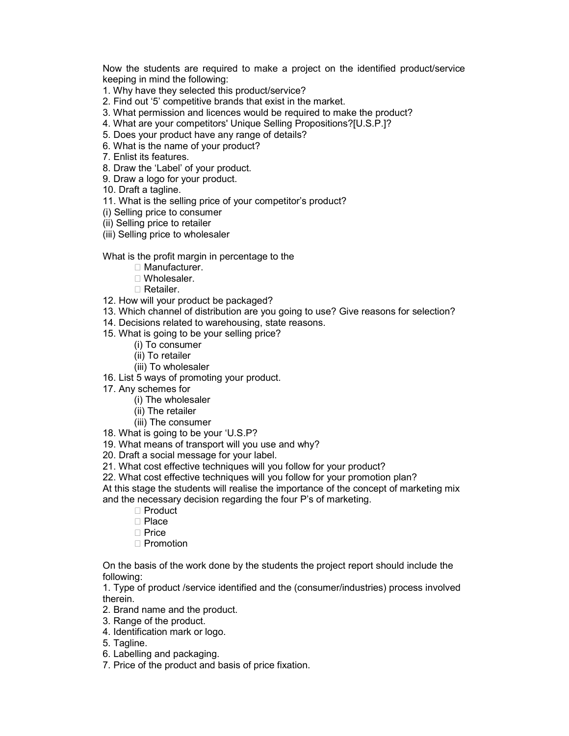Now the students are required to make a project on the identified product/service keeping in mind the following:

1. Why have they selected this product/service?

- 2. Find out '5' competitive brands that exist in the market.
- 3. What permission and licences would be required to make the product?
- 4. What are your competitors' Unique Selling Propositions?[U.S.P.]?
- 5. Does your product have any range of details?
- 6. What is the name of your product?
- 7. Enlist its features.
- 8. Draw the 'Label' of your product.
- 9. Draw a logo for your product.
- 10. Draft a tagline.
- 11. What is the selling price of your competitor's product?
- (i) Selling price to consumer
- (ii) Selling price to retailer
- (iii) Selling price to wholesaler

What is the profit margin in percentage to the

- □ Manufacturer.
- Wholesaler.
- Retailer.
- 12. How will your product be packaged?
- 13. Which channel of distribution are you going to use? Give reasons for selection?
- 14. Decisions related to warehousing, state reasons.
- 15. What is going to be your selling price?
	- (i) To consumer
	- (ii) To retailer
	- (iii) To wholesaler
- 16. List 5 ways of promoting your product.
- 17. Any schemes for
	- (i) The wholesaler
	- (ii) The retailer
	- (iii) The consumer
- 18. What is going to be your 'U.S.P?
- 19. What means of transport will you use and why?
- 20. Draft a social message for your label.
- 21. What cost effective techniques will you follow for your product?
- 22. What cost effective techniques will you follow for your promotion plan?
- At this stage the students will realise the importance of the concept of marketing mix
- and the necessary decision regarding the four P's of marketing.
	- □ Product
	- □ Place
	- □ Price
	- $\Box$  Promotion

On the basis of the work done by the students the project report should include the following:

1. Type of product /service identified and the (consumer/industries) process involved therein.

- 2. Brand name and the product.
- 3. Range of the product.
- 4. Identification mark or logo.
- 5. Tagline.
- 6. Labelling and packaging.
- 7. Price of the product and basis of price fixation.